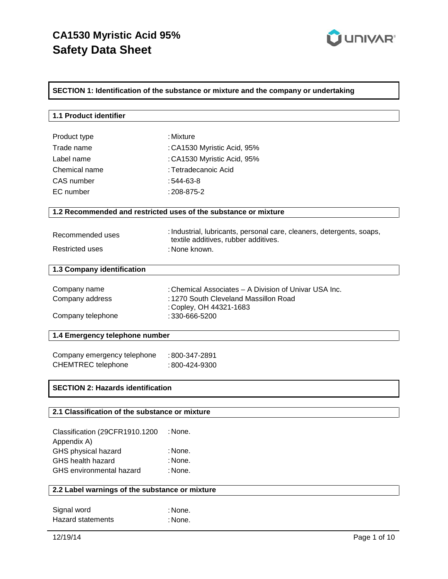

## **SECTION 1: Identification of the substance or mixture and the company or undertaking**

| 1.1 Product identifier                         |                                                                                                               |  |
|------------------------------------------------|---------------------------------------------------------------------------------------------------------------|--|
| Product type                                   | : Mixture                                                                                                     |  |
| Trade name                                     | : CA1530 Myristic Acid, 95%                                                                                   |  |
| Label name                                     |                                                                                                               |  |
|                                                | : CA1530 Myristic Acid, 95%                                                                                   |  |
| Chemical name                                  | : Tetradecanoic Acid                                                                                          |  |
| CAS number                                     | $:544-63-8$                                                                                                   |  |
| EC number                                      | : 208-875-2                                                                                                   |  |
|                                                | 1.2 Recommended and restricted uses of the substance or mixture                                               |  |
| Recommended uses                               | : Industrial, lubricants, personal care, cleaners, detergents, soaps,<br>textile additives, rubber additives. |  |
| <b>Restricted uses</b>                         | : None known.                                                                                                 |  |
| 1.3 Company identification                     |                                                                                                               |  |
|                                                |                                                                                                               |  |
| Company name                                   | : Chemical Associates – A Division of Univar USA Inc.                                                         |  |
| Company address                                | : 1270 South Cleveland Massillon Road                                                                         |  |
| Company telephone                              | : Copley, OH 44321-1683<br>: 330-666-5200                                                                     |  |
| 1.4 Emergency telephone number                 |                                                                                                               |  |
|                                                |                                                                                                               |  |
| Company emergency telephone                    | : 800-347-2891                                                                                                |  |
| <b>CHEMTREC</b> telephone                      | : 800-424-9300                                                                                                |  |
| <b>SECTION 2: Hazards identification</b>       |                                                                                                               |  |
|                                                |                                                                                                               |  |
| 2.1 Classification of the substance or mixture |                                                                                                               |  |
| Classification (29CFR1910.1200<br>Appendix A)  | : None.                                                                                                       |  |
| GHS physical hazard                            | : None.                                                                                                       |  |
| GHS health hazard                              | : None.                                                                                                       |  |
| <b>GHS</b> environmental hazard                | : None.                                                                                                       |  |
| 2.2 Label warnings of the substance or mixture |                                                                                                               |  |
|                                                |                                                                                                               |  |
| Signal word                                    | : None.                                                                                                       |  |
| <b>Hazard statements</b>                       | : None.                                                                                                       |  |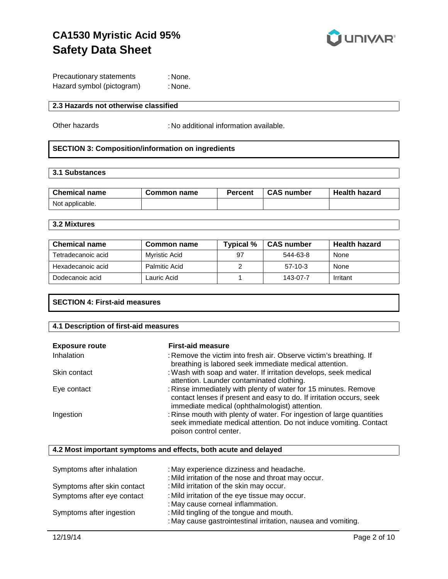

| Precautionary statements  | : None. |
|---------------------------|---------|
| Hazard symbol (pictogram) | : None. |

#### **2.3 Hazards not otherwise classified**

Other hazards : No additional information available.

#### **SECTION 3: Composition/information on ingredients**

#### **3.1 Substances**

| <b>Chemical name</b> | Common name | <b>Percent</b> | <b>CAS number</b> | <b>Health hazard</b> |
|----------------------|-------------|----------------|-------------------|----------------------|
| Not applicable.      |             |                |                   |                      |

## **3.2 Mixtures**

| <b>Chemical name</b> | Common name   | Typical % | <b>CAS number</b> | <b>Health hazard</b> |
|----------------------|---------------|-----------|-------------------|----------------------|
| Tetradecanoic acid   | Mvristic Acid | 97        | 544-63-8          | <b>None</b>          |
| Hexadecanoic acid    | Palmitic Acid |           | $57-10-3$         | None                 |
| Dodecanoic acid      | Lauric Acid   |           | 143-07-7          | Irritant             |

## **SECTION 4: First-aid measures**

# **4.1 Description of first-aid measures**

| <b>Exposure route</b> | <b>First-aid measure</b>                                                                                                                                                                  |
|-----------------------|-------------------------------------------------------------------------------------------------------------------------------------------------------------------------------------------|
| <b>Inhalation</b>     | : Remove the victim into fresh air. Observe victim's breathing. If<br>breathing is labored seek immediate medical attention.                                                              |
| Skin contact          | : Wash with soap and water. If irritation develops, seek medical<br>attention. Launder contaminated clothing.                                                                             |
| Eye contact           | : Rinse immediately with plenty of water for 15 minutes. Remove<br>contact lenses if present and easy to do. If irritation occurs, seek<br>immediate medical (ophthalmologist) attention. |
| Ingestion             | : Rinse mouth with plenty of water. For ingestion of large quantities<br>seek immediate medical attention. Do not induce vomiting. Contact<br>poison control center.                      |

#### **4.2 Most important symptoms and effects, both acute and delayed**

| Symptoms after inhalation   | : May experience dizziness and headache.<br>: Mild irritation of the nose and throat may occur.           |
|-----------------------------|-----------------------------------------------------------------------------------------------------------|
| Symptoms after skin contact | : Mild irritation of the skin may occur.                                                                  |
| Symptoms after eye contact  | : Mild irritation of the eye tissue may occur.<br>: May cause corneal inflammation.                       |
| Symptoms after ingestion    | : Mild tingling of the tongue and mouth.<br>: May cause gastrointestinal irritation, nausea and vomiting. |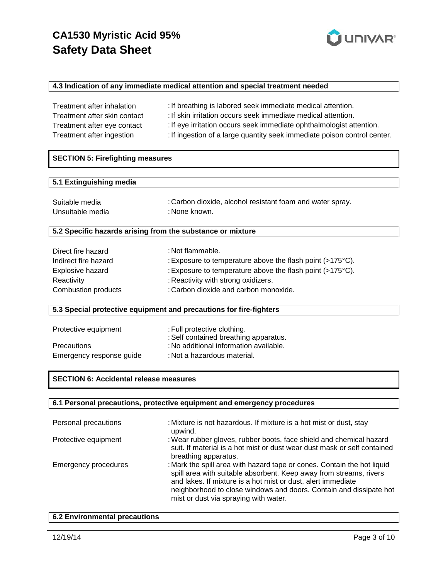

#### **4.3 Indication of any immediate medical attention and special treatment needed**

| Treatment after inhalation   | : If breathing is labored seek immediate medical attention.              |
|------------------------------|--------------------------------------------------------------------------|
| Treatment after skin contact | : If skin irritation occurs seek immediate medical attention.            |
| Treatment after eye contact  | : If eye irritation occurs seek immediate ophthalmologist attention.     |
| Treatment after ingestion    | : If ingestion of a large quantity seek immediate poison control center. |

## **SECTION 5: Firefighting measures**

#### **5.1 Extinguishing media**

| Suitable media   | : Carbon dioxide, alcohol resistant foam and water spray. |
|------------------|-----------------------------------------------------------|
| Unsuitable media | : None known.                                             |

#### **5.2 Specific hazards arising from the substance or mixture**

| : Not flammable.                                                    |
|---------------------------------------------------------------------|
| : Exposure to temperature above the flash point $(>175^{\circ}C)$ . |
| : Exposure to temperature above the flash point $(>175^{\circ}C)$ . |
| : Reactivity with strong oxidizers.                                 |
| : Carbon dioxide and carbon monoxide.                               |
|                                                                     |

#### **5.3 Special protective equipment and precautions for fire-fighters**

| Protective equipment     | : Full protective clothing.<br>: Self contained breathing apparatus. |
|--------------------------|----------------------------------------------------------------------|
| <b>Precautions</b>       | : No additional information available.                               |
| Emergency response guide | : Not a hazardous material.                                          |

## **SECTION 6: Accidental release measures**

#### **6.1 Personal precautions, protective equipment and emergency procedures**

| Personal precautions        | : Mixture is not hazardous. If mixture is a hot mist or dust, stay<br>upwind.                                                                                                                                                                                                                                                |
|-----------------------------|------------------------------------------------------------------------------------------------------------------------------------------------------------------------------------------------------------------------------------------------------------------------------------------------------------------------------|
| Protective equipment        | : Wear rubber gloves, rubber boots, face shield and chemical hazard<br>suit. If material is a hot mist or dust wear dust mask or self contained<br>breathing apparatus.                                                                                                                                                      |
| <b>Emergency procedures</b> | : Mark the spill area with hazard tape or cones. Contain the hot liquid<br>spill area with suitable absorbent. Keep away from streams, rivers<br>and lakes. If mixture is a hot mist or dust, alert immediate<br>neighborhood to close windows and doors. Contain and dissipate hot<br>mist or dust via spraying with water. |

#### **6.2 Environmental precautions**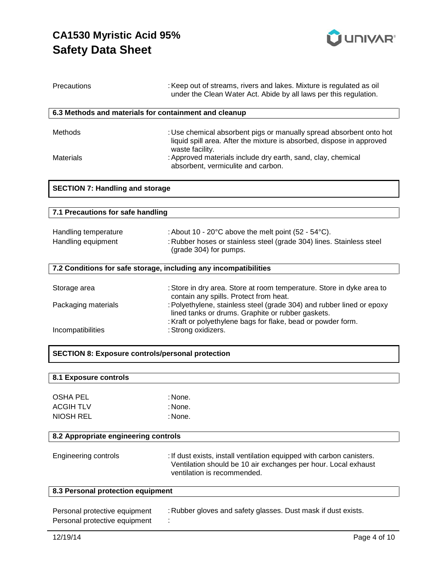

| Precautions                                                    | : Keep out of streams, rivers and lakes. Mixture is regulated as oil<br>under the Clean Water Act. Abide by all laws per this regulation.                                                  |  |
|----------------------------------------------------------------|--------------------------------------------------------------------------------------------------------------------------------------------------------------------------------------------|--|
| 6.3 Methods and materials for containment and cleanup          |                                                                                                                                                                                            |  |
| Methods                                                        | : Use chemical absorbent pigs or manually spread absorbent onto hot<br>liquid spill area. After the mixture is absorbed, dispose in approved<br>waste facility.                            |  |
| <b>Materials</b>                                               | : Approved materials include dry earth, sand, clay, chemical<br>absorbent, vermiculite and carbon.                                                                                         |  |
| <b>SECTION 7: Handling and storage</b>                         |                                                                                                                                                                                            |  |
| 7.1 Precautions for safe handling                              |                                                                                                                                                                                            |  |
|                                                                |                                                                                                                                                                                            |  |
| Handling temperature                                           | : About 10 - 20°C above the melt point (52 - 54°C).                                                                                                                                        |  |
| Handling equipment                                             | : Rubber hoses or stainless steel (grade 304) lines. Stainless steel<br>(grade 304) for pumps.                                                                                             |  |
|                                                                | 7.2 Conditions for safe storage, including any incompatibilities                                                                                                                           |  |
| Storage area                                                   | : Store in dry area. Store at room temperature. Store in dyke area to<br>contain any spills. Protect from heat.                                                                            |  |
| Packaging materials                                            | : Polyethylene, stainless steel (grade 304) and rubber lined or epoxy<br>lined tanks or drums. Graphite or rubber gaskets.<br>: Kraft or polyethylene bags for flake, bead or powder form. |  |
| Incompatibilities                                              | : Strong oxidizers.                                                                                                                                                                        |  |
| <b>SECTION 8: Exposure controls/personal protection</b>        |                                                                                                                                                                                            |  |
|                                                                |                                                                                                                                                                                            |  |
| 8.1 Exposure controls                                          |                                                                                                                                                                                            |  |
| <b>OSHA PEL</b>                                                | : None.                                                                                                                                                                                    |  |
| <b>ACGIH TLV</b>                                               | : None.                                                                                                                                                                                    |  |
| <b>NIOSH REL</b>                                               | : None.                                                                                                                                                                                    |  |
| 8.2 Appropriate engineering controls                           |                                                                                                                                                                                            |  |
| <b>Engineering controls</b>                                    | : If dust exists, install ventilation equipped with carbon canisters.<br>Ventilation should be 10 air exchanges per hour. Local exhaust<br>ventilation is recommended.                     |  |
|                                                                | 8.3 Personal protection equipment                                                                                                                                                          |  |
| Personal protective equipment<br>Personal protective equipment | : Rubber gloves and safety glasses. Dust mask if dust exists.                                                                                                                              |  |
| 12/19/14                                                       | Page 4 of 10                                                                                                                                                                               |  |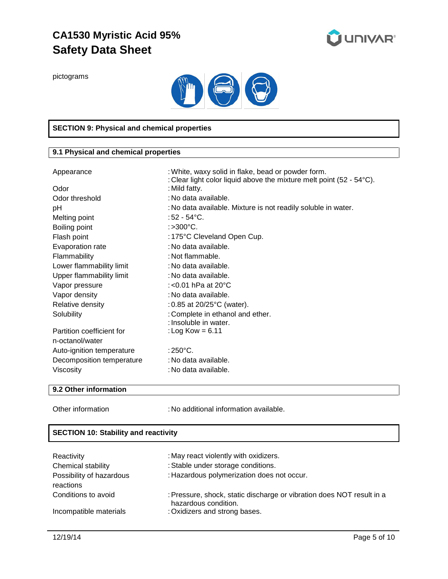

pictograms



## **SECTION 9: Physical and chemical properties**

## **9.1 Physical and chemical properties**

| Appearance                | : White, waxy solid in flake, bead or powder form.<br>: Clear light color liquid above the mixture melt point (52 - $54^{\circ}$ C). |  |
|---------------------------|--------------------------------------------------------------------------------------------------------------------------------------|--|
| Odor                      | : Mild fatty.                                                                                                                        |  |
| Odor threshold            | : No data available.                                                                                                                 |  |
| pH                        | : No data available. Mixture is not readily soluble in water.                                                                        |  |
| Melting point             | : 52 - 54°C.                                                                                                                         |  |
| Boiling point             | :>300°C.                                                                                                                             |  |
| Flash point               | : 175°C Cleveland Open Cup.                                                                                                          |  |
| Evaporation rate          | : No data available.                                                                                                                 |  |
| Flammability              | : Not flammable.                                                                                                                     |  |
| Lower flammability limit  | : No data available.                                                                                                                 |  |
| Upper flammability limit  | : No data available.                                                                                                                 |  |
| Vapor pressure            | : <0.01 hPa at $20^{\circ}$ C                                                                                                        |  |
| Vapor density             | : No data available.                                                                                                                 |  |
| Relative density          | : 0.85 at $20/25^{\circ}$ C (water).                                                                                                 |  |
| Solubility                | : Complete in ethanol and ether.                                                                                                     |  |
|                           | : Insoluble in water.                                                                                                                |  |
| Partition coefficient for | : Log Kow = $6.11$                                                                                                                   |  |
| n-octanol/water           |                                                                                                                                      |  |
| Auto-ignition temperature | : $250^{\circ}$ C.                                                                                                                   |  |
| Decomposition temperature | : No data available.                                                                                                                 |  |
| Viscosity                 | : No data available.                                                                                                                 |  |

#### **9.2 Other information**

Other information : No additional information available.

## **SECTION 10: Stability and reactivity**

| Reactivity                            | : May react violently with oxidizers.                                                         |  |
|---------------------------------------|-----------------------------------------------------------------------------------------------|--|
| Chemical stability                    | : Stable under storage conditions.                                                            |  |
| Possibility of hazardous<br>reactions | : Hazardous polymerization does not occur.                                                    |  |
| Conditions to avoid                   | : Pressure, shock, static discharge or vibration does NOT result in a<br>hazardous condition. |  |
| Incompatible materials                | : Oxidizers and strong bases.                                                                 |  |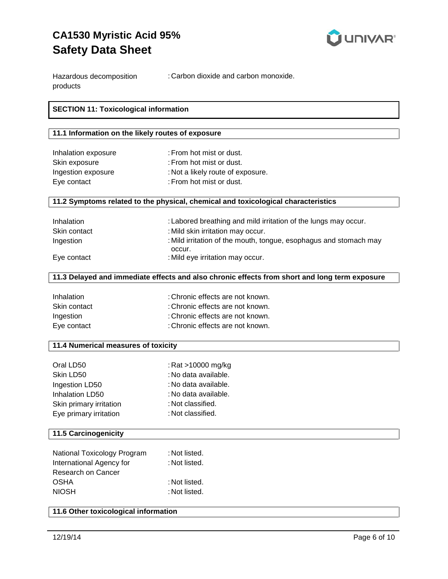

| Hazardous decomposition | : Carbon dioxide and carbon monoxide. |
|-------------------------|---------------------------------------|
| products                |                                       |

## **SECTION 11: Toxicological information**

#### **11.1 Information on the likely routes of exposure**

| Inhalation exposure | : From hot mist or dust.          |
|---------------------|-----------------------------------|
| Skin exposure       | : From hot mist or dust.          |
| Ingestion exposure  | : Not a likely route of exposure. |
| Eye contact         | : From hot mist or dust.          |

#### **11.2 Symptoms related to the physical, chemical and toxicological characteristics**

| Inhalation   | : Labored breathing and mild irritation of the lungs may occur.             |  |  |
|--------------|-----------------------------------------------------------------------------|--|--|
| Skin contact | : Mild skin irritation may occur.                                           |  |  |
| Ingestion    | : Mild irritation of the mouth, tongue, esophagus and stomach may<br>occur. |  |  |
| Eye contact  | : Mild eye irritation may occur.                                            |  |  |
|              |                                                                             |  |  |

#### **11.3 Delayed and immediate effects and also chronic effects from short and long term exposure**

| Inhalation   | : Chronic effects are not known. |
|--------------|----------------------------------|
| Skin contact | : Chronic effects are not known. |
| Ingestion    | : Chronic effects are not known. |
| Eye contact  | : Chronic effects are not known. |

#### **11.4 Numerical measures of toxicity**

| Oral LD50               | : Rat >10000 mg/kg   |
|-------------------------|----------------------|
| Skin LD50               | : No data available. |
| Ingestion LD50          | : No data available. |
| Inhalation LD50         | : No data available. |
| Skin primary irritation | : Not classified.    |
| Eye primary irritation  | : Not classified.    |

#### **11.5 Carcinogenicity**

| National Toxicology Program | : Not listed. |
|-----------------------------|---------------|
| International Agency for    | : Not listed. |
| Research on Cancer          |               |
| <b>OSHA</b>                 | : Not listed. |
| <b>NIOSH</b>                | : Not listed. |

#### **11.6 Other toxicological information**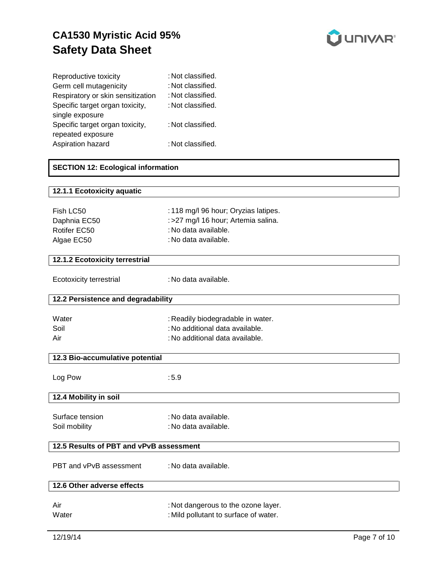

| Reproductive toxicity             | : Not classified. |
|-----------------------------------|-------------------|
| Germ cell mutagenicity            | : Not classified. |
| Respiratory or skin sensitization | : Not classified. |
| Specific target organ toxicity,   | : Not classified. |
| single exposure                   |                   |
| Specific target organ toxicity,   | : Not classified. |
| repeated exposure                 |                   |
| Aspiration hazard                 | : Not classified. |

## **SECTION 12: Ecological information**

| 12.1.1 Ecotoxicity aquatic              |                                       |  |  |
|-----------------------------------------|---------------------------------------|--|--|
|                                         |                                       |  |  |
| Fish LC50                               | : 118 mg/l 96 hour; Oryzias latipes.  |  |  |
| Daphnia EC50                            | : >27 mg/l 16 hour; Artemia salina.   |  |  |
| Rotifer EC50                            | : No data available.                  |  |  |
| Algae EC50                              | : No data available.                  |  |  |
|                                         |                                       |  |  |
| 12.1.2 Ecotoxicity terrestrial          |                                       |  |  |
|                                         |                                       |  |  |
| Ecotoxicity terrestrial                 | : No data available.                  |  |  |
|                                         |                                       |  |  |
| 12.2 Persistence and degradability      |                                       |  |  |
|                                         |                                       |  |  |
| Water                                   | : Readily biodegradable in water.     |  |  |
| Soil                                    | : No additional data available.       |  |  |
| Air                                     | : No additional data available.       |  |  |
|                                         |                                       |  |  |
| 12.3 Bio-accumulative potential         |                                       |  |  |
|                                         |                                       |  |  |
| Log Pow                                 | :5.9                                  |  |  |
|                                         |                                       |  |  |
| 12.4 Mobility in soil                   |                                       |  |  |
| Surface tension                         | : No data available.                  |  |  |
|                                         |                                       |  |  |
| Soil mobility                           | : No data available.                  |  |  |
| 12.5 Results of PBT and vPvB assessment |                                       |  |  |
|                                         |                                       |  |  |
| PBT and vPvB assessment                 | : No data available.                  |  |  |
|                                         |                                       |  |  |
| 12.6 Other adverse effects              |                                       |  |  |
|                                         |                                       |  |  |
| Air                                     | : Not dangerous to the ozone layer.   |  |  |
| Water                                   | : Mild pollutant to surface of water. |  |  |
|                                         |                                       |  |  |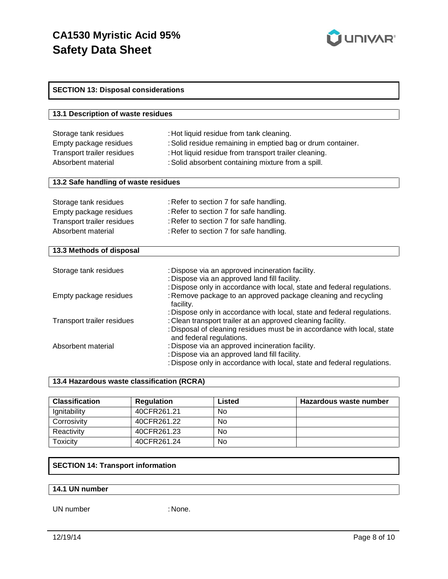

| <b>SECTION 13: Disposal considerations</b> |                                                                                                     |  |
|--------------------------------------------|-----------------------------------------------------------------------------------------------------|--|
|                                            |                                                                                                     |  |
| 13.1 Description of waste residues         |                                                                                                     |  |
|                                            |                                                                                                     |  |
| Storage tank residues                      | : Hot liquid residue from tank cleaning.                                                            |  |
| Empty package residues                     | : Solid residue remaining in emptied bag or drum container.                                         |  |
| Transport trailer residues                 | : Hot liquid residue from transport trailer cleaning.                                               |  |
| Absorbent material                         | : Solid absorbent containing mixture from a spill.                                                  |  |
|                                            |                                                                                                     |  |
| 13.2 Safe handling of waste residues       |                                                                                                     |  |
|                                            |                                                                                                     |  |
| Storage tank residues                      | : Refer to section 7 for safe handling.                                                             |  |
| Empty package residues                     | : Refer to section 7 for safe handling.                                                             |  |
| Transport trailer residues                 | : Refer to section 7 for safe handling.                                                             |  |
| Absorbent material                         | : Refer to section 7 for safe handling.                                                             |  |
| 13.3 Methods of disposal                   |                                                                                                     |  |
|                                            |                                                                                                     |  |
| Storage tank residues                      | : Dispose via an approved incineration facility.                                                    |  |
|                                            | : Dispose via an approved land fill facility.                                                       |  |
|                                            | : Dispose only in accordance with local, state and federal regulations.                             |  |
| Empty package residues                     | : Remove package to an approved package cleaning and recycling                                      |  |
|                                            | facility.                                                                                           |  |
|                                            | : Dispose only in accordance with local, state and federal regulations.                             |  |
| Transport trailer residues                 | : Clean transport trailer at an approved cleaning facility.                                         |  |
|                                            | : Disposal of cleaning residues must be in accordance with local, state<br>and federal regulations. |  |
| Absorbent material                         | : Dispose via an approved incineration facility.                                                    |  |
|                                            | : Dispose via an approved land fill facility.                                                       |  |
|                                            | : Dispose only in accordance with local, state and federal regulations.                             |  |

#### **13.4 Hazardous waste classification (RCRA)**

| <b>Classification</b> | <b>Regulation</b> | Listed | Hazardous waste number |
|-----------------------|-------------------|--------|------------------------|
| Ignitability          | 40CFR261.21       | No     |                        |
| Corrosivity           | 40CFR261.22       | No     |                        |
| Reactivity            | 40CFR261.23       | No     |                        |
| Toxicity              | 40CFR261.24       | No     |                        |

## **SECTION 14: Transport information**

### **14.1 UN number**

UN number : None.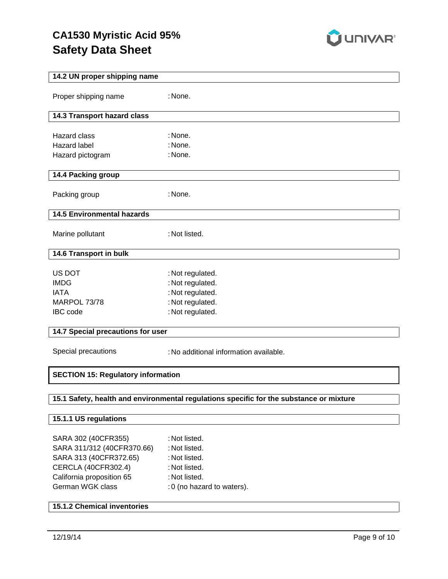

| 14.2 UN proper shipping name              |                                                                                         |  |  |  |  |
|-------------------------------------------|-----------------------------------------------------------------------------------------|--|--|--|--|
| Proper shipping name                      | : None.                                                                                 |  |  |  |  |
| 14.3 Transport hazard class               |                                                                                         |  |  |  |  |
|                                           |                                                                                         |  |  |  |  |
| Hazard class                              | : None.                                                                                 |  |  |  |  |
| <b>Hazard label</b>                       | : None.<br>: None.                                                                      |  |  |  |  |
| Hazard pictogram                          |                                                                                         |  |  |  |  |
| 14.4 Packing group                        |                                                                                         |  |  |  |  |
| Packing group                             | : None.                                                                                 |  |  |  |  |
| <b>14.5 Environmental hazards</b>         |                                                                                         |  |  |  |  |
| Marine pollutant                          | : Not listed.                                                                           |  |  |  |  |
| 14.6 Transport in bulk                    |                                                                                         |  |  |  |  |
|                                           |                                                                                         |  |  |  |  |
| US DOT<br><b>IMDG</b>                     | : Not regulated.<br>: Not regulated.                                                    |  |  |  |  |
| <b>IATA</b>                               | : Not regulated.                                                                        |  |  |  |  |
| MARPOL 73/78                              | : Not regulated.                                                                        |  |  |  |  |
| IBC code                                  | : Not regulated.                                                                        |  |  |  |  |
|                                           |                                                                                         |  |  |  |  |
| 14.7 Special precautions for user         |                                                                                         |  |  |  |  |
| Special precautions                       | : No additional information available.                                                  |  |  |  |  |
| <b>SECTION 15: Regulatory information</b> |                                                                                         |  |  |  |  |
|                                           |                                                                                         |  |  |  |  |
|                                           | 15.1 Safety, health and environmental regulations specific for the substance or mixture |  |  |  |  |
| 15.1.1 US regulations                     |                                                                                         |  |  |  |  |
| SARA 302 (40CFR355)                       | : Not listed.                                                                           |  |  |  |  |
| SARA 311/312 (40CFR370.66)                | : Not listed.                                                                           |  |  |  |  |
| SARA 313 (40CFR372.65)                    | : Not listed.                                                                           |  |  |  |  |
| CERCLA (40CFR302.4)                       | : Not listed.                                                                           |  |  |  |  |
| California proposition 65                 | : Not listed.                                                                           |  |  |  |  |
| German WGK class                          | : 0 (no hazard to waters).                                                              |  |  |  |  |
| <b>15.1.2 Chemical inventories</b>        |                                                                                         |  |  |  |  |